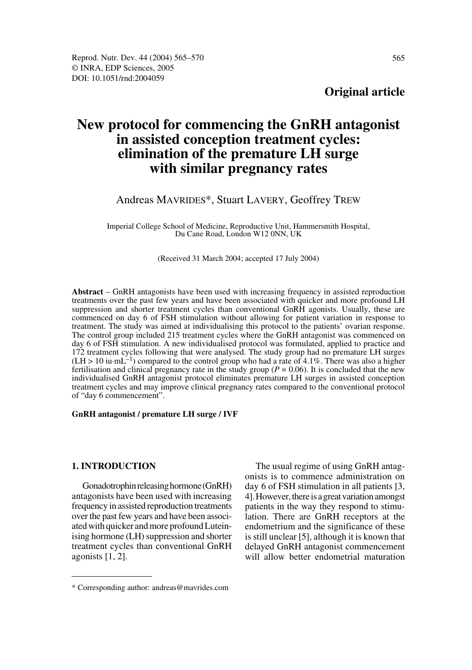# **New protocol for commencing the GnRH antagonist in assisted conception treatment cycles: elimination of the premature LH surge with similar pregnancy rates**

# Andreas MAVRIDES\*, Stuart LAVERY, Geoffrey TREW

Imperial College School of Medicine, Reproductive Unit, Hammersmith Hospital, Du Cane Road, London W12 0NN, UK

(Received 31 March 2004; accepted 17 July 2004)

**Abstract** – GnRH antagonists have been used with increasing frequency in assisted reproduction treatments over the past few years and have been associated with quicker and more profound LH suppression and shorter treatment cycles than conventional GnRH agonists. Usually, these are commenced on day 6 of FSH stimulation without allowing for patient variation in response to treatment. The study was aimed at individualising this protocol to the patients' ovarian response. The control group included 215 treatment cycles where the GnRH antagonist was commenced on day 6 of FSH stimulation. A new individualised protocol was formulated, applied to practice and 172 treatment cycles following that were analysed. The study group had no premature LH surges  $(LH > 10 \text{ iu} \cdot \text{mL}^{-1})$  compared to the control group who had a rate of 4.1%. There was also a higher fertilisation and clinical pregnancy rate in the study group ( $P = 0.06$ ). It is concluded that the new individualised GnRH antagonist protocol eliminates premature LH surges in assisted conception treatment cycles and may improve clinical pregnancy rates compared to the conventional protocol of "day 6 commencement".

#### **GnRH antagonist / premature LH surge / IVF**

#### **1. INTRODUCTION**

Gonadotrophin releasing hormone (GnRH) antagonists have been used with increasing frequency in assisted reproduction treatments over the past few years and have been associated with quicker and more profound Luteinising hormone (LH) suppression and shorter treatment cycles than conventional GnRH agonists [1, 2].

The usual regime of using GnRH antagonists is to commence administration on day 6 of FSH stimulation in all patients [3, 4]. However, there is a great variation amongst patients in the way they respond to stimulation. There are GnRH receptors at the endometrium and the significance of these is still unclear [5], although it is known that delayed GnRH antagonist commencement will allow better endometrial maturation

<sup>\*</sup> Corresponding author: andreas@mavrides.com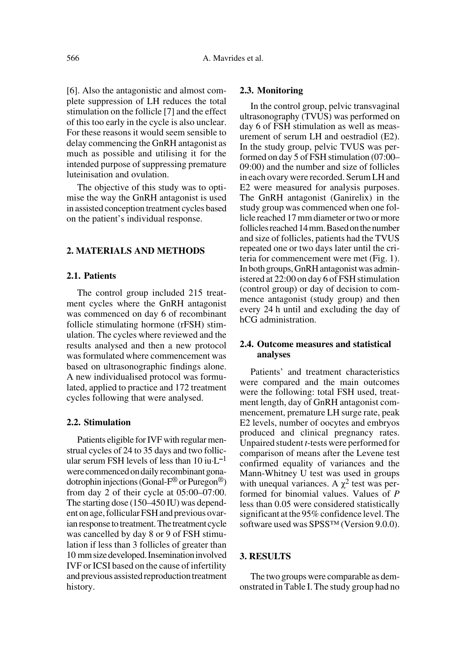[6]. Also the antagonistic and almost complete suppression of LH reduces the total stimulation on the follicle [7] and the effect of this too early in the cycle is also unclear. For these reasons it would seem sensible to delay commencing the GnRH antagonist as much as possible and utilising it for the intended purpose of suppressing premature luteinisation and ovulation.

The objective of this study was to optimise the way the GnRH antagonist is used in assisted conception treatment cycles based on the patient's individual response.

# **2. MATERIALS AND METHODS**

# **2.1. Patients**

The control group included 215 treatment cycles where the GnRH antagonist was commenced on day 6 of recombinant follicle stimulating hormone (rFSH) stimulation. The cycles where reviewed and the results analysed and then a new protocol was formulated where commencement was based on ultrasonographic findings alone. A new individualised protocol was formulated, applied to practice and 172 treatment cycles following that were analysed.

### **2.2. Stimulation**

Patients eligible for IVF with regular menstrual cycles of 24 to 35 days and two follicular serum FSH levels of less than 10 iu·L**–**<sup>1</sup> were commenced on daily recombinant gonadotrophin injections (Gonal-F® or Puregon®) from day 2 of their cycle at 05:00–07:00. The starting dose (150–450 IU) was dependent on age, follicular FSH and previous ovarian response to treatment. The treatment cycle was cancelled by day 8 or 9 of FSH stimulation if less than 3 follicles of greater than 10 mm size developed. Insemination involved IVF or ICSI based on the cause of infertility and previous assisted reproduction treatment history.

#### **2.3. Monitoring**

In the control group, pelvic transvaginal ultrasonography (TVUS) was performed on day 6 of FSH stimulation as well as measurement of serum LH and oestradiol (E2). In the study group, pelvic TVUS was performed on day 5 of FSH stimulation (07:00– 09:00) and the number and size of follicles in each ovary were recorded. Serum LH and E2 were measured for analysis purposes. The GnRH antagonist (Ganirelix) in the study group was commenced when one follicle reached 17 mm diameter or two or more follicles reached 14 mm. Based on the number and size of follicles, patients had the TVUS repeated one or two days later until the criteria for commencement were met (Fig. 1). In both groups, GnRH antagonist was administered at 22:00 on day 6 of FSH stimulation (control group) or day of decision to commence antagonist (study group) and then every 24 h until and excluding the day of hCG administration.

# **2.4. Outcome measures and statistical analyses**

Patients' and treatment characteristics were compared and the main outcomes were the following: total FSH used, treatment length, day of GnRH antagonist commencement, premature LH surge rate, peak E2 levels, number of oocytes and embryos produced and clinical pregnancy rates. Unpaired student *t*-tests were performed for comparison of means after the Levene test confirmed equality of variances and the Mann-Whitney U test was used in groups with unequal variances. A  $\chi^2$  test was performed for binomial values. Values of *P* less than 0.05 were considered statistically significant at the 95% confidence level. The software used was SPSS™ (Version 9.0.0).

#### **3. RESULTS**

The two groups were comparable as demonstrated in Table I. The study group had no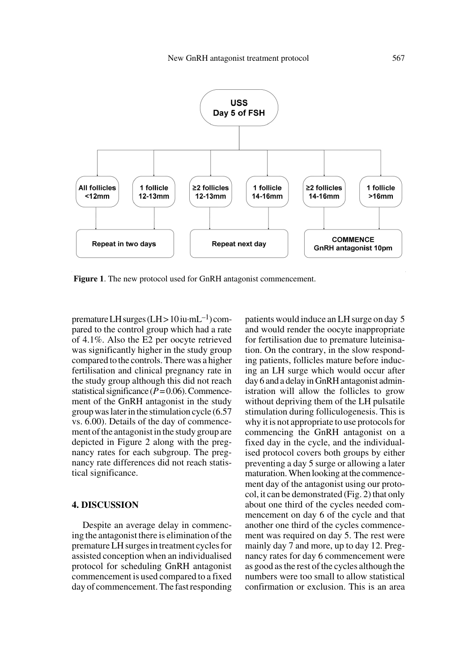

**Figure 1**. The new protocol used for GnRH antagonist commencement.

premature LH surges  $(LH > 10 \text{iu} \cdot \text{m}L^{-1})$  compared to the control group which had a rate of 4.1%. Also the E2 per oocyte retrieved was significantly higher in the study group compared to the controls. There was a higher fertilisation and clinical pregnancy rate in the study group although this did not reach statistical significance  $(P=0.06)$ . Commencement of the GnRH antagonist in the study group was later in the stimulation cycle (6.57 vs. 6.00). Details of the day of commencement of the antagonist in the study group are depicted in Figure 2 along with the pregnancy rates for each subgroup. The pregnancy rate differences did not reach statistical significance.

#### **4. DISCUSSION**

Despite an average delay in commencing the antagonist there is elimination of the premature LH surges in treatment cycles for assisted conception when an individualised protocol for scheduling GnRH antagonist commencement is used compared to a fixed day of commencement. The fast responding patients would induce an LH surge on day 5 and would render the oocyte inappropriate for fertilisation due to premature luteinisation. On the contrary, in the slow responding patients, follicles mature before inducing an LH surge which would occur after day 6 and a delay in GnRH antagonist administration will allow the follicles to grow without depriving them of the LH pulsatile stimulation during folliculogenesis. This is why it is not appropriate to use protocols for commencing the GnRH antagonist on a fixed day in the cycle, and the individualised protocol covers both groups by either preventing a day 5 surge or allowing a later maturation. When looking at the commencement day of the antagonist using our protocol, it can be demonstrated (Fig. 2) that only about one third of the cycles needed commencement on day 6 of the cycle and that another one third of the cycles commencement was required on day 5. The rest were mainly day 7 and more, up to day 12. Pregnancy rates for day 6 commencement were as good as the rest of the cycles although the numbers were too small to allow statistical confirmation or exclusion. This is an area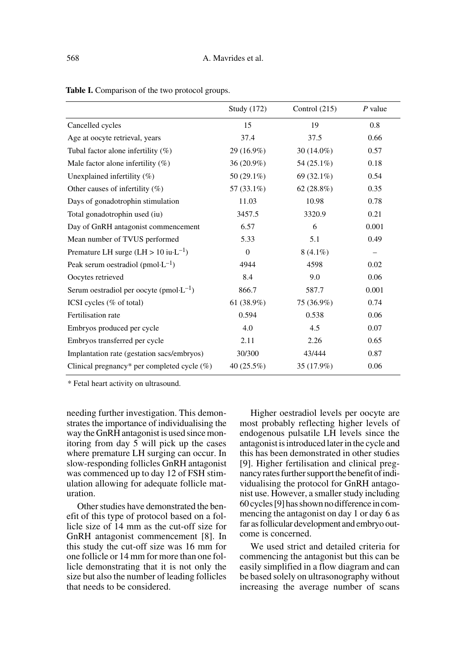|                                                        | Study (172)  | Control $(215)$ | $P$ value                |
|--------------------------------------------------------|--------------|-----------------|--------------------------|
| Cancelled cycles                                       | 15           | 19              | 0.8                      |
| Age at oocyte retrieval, years                         | 37.4         | 37.5            | 0.66                     |
| Tubal factor alone infertility $(\%)$                  | 29 (16.9%)   | $30(14.0\%)$    | 0.57                     |
| Male factor alone infertility $(\%)$                   | $36(20.9\%)$ | 54 (25.1%)      | 0.18                     |
| Unexplained infertility (%)                            | 50 (29.1%)   | 69 $(32.1\%)$   | 0.54                     |
| Other causes of infertility $(\%)$                     | 57 (33.1%)   | 62(28.8%)       | 0.35                     |
| Days of gonadotrophin stimulation                      | 11.03        | 10.98           | 0.78                     |
| Total gonadotrophin used (iu)                          | 3457.5       | 3320.9          | 0.21                     |
| Day of GnRH antagonist commencement                    | 6.57         | 6               | 0.001                    |
| Mean number of TVUS performed                          | 5.33         | 5.1             | 0.49                     |
| Premature LH surge $(LH > 10 \text{ i}u \cdot L^{-1})$ | $\mathbf{0}$ | $8(4.1\%)$      | $\overline{\phantom{0}}$ |
| Peak serum oestradiol (pmol $\cdot L^{-1}$ )           | 4944         | 4598            | 0.02                     |
| Oocytes retrieved                                      | 8.4          | 9.0             | 0.06                     |
| Serum oestradiol per oocyte (pmol· $L^{-1}$ )          | 866.7        | 587.7           | 0.001                    |
| ICSI cycles (% of total)                               | 61(38.9%)    | 75 (36.9%)      | 0.74                     |
| Fertilisation rate                                     | 0.594        | 0.538           | 0.06                     |
| Embryos produced per cycle                             | 4.0          | 4.5             | 0.07                     |
| Embryos transferred per cycle                          | 2.11         | 2.26            | 0.65                     |
| Implantation rate (gestation sacs/embryos)             | 30/300       | 43/444          | 0.87                     |
| Clinical pregnancy* per completed cycle $(\%)$         | 40(25.5%)    | 35 (17.9%)      | 0.06                     |

Table I. Comparison of the two protocol groups.

\* Fetal heart activity on ultrasound.

needing further investigation. This demonstrates the importance of individualising the way the GnRH antagonist is used since monitoring from day 5 will pick up the cases where premature LH surging can occur. In slow-responding follicles GnRH antagonist was commenced up to day 12 of FSH stimulation allowing for adequate follicle maturation.

Other studies have demonstrated the benefit of this type of protocol based on a follicle size of 14 mm as the cut-off size for GnRH antagonist commencement [8]. In this study the cut-off size was 16 mm for one follicle or 14 mm for more than one follicle demonstrating that it is not only the size but also the number of leading follicles that needs to be considered.

Higher oestradiol levels per oocyte are most probably reflecting higher levels of endogenous pulsatile LH levels since the antagonist is introduced later in the cycle and this has been demonstrated in other studies [9]. Higher fertilisation and clinical pregnancy rates further support the benefit of individualising the protocol for GnRH antagonist use. However, a smaller study including 60 cycles [9] has shown no difference in commencing the antagonist on day 1 or day 6 as far as follicular development and embryo outcome is concerned.

We used strict and detailed criteria for commencing the antagonist but this can be easily simplified in a flow diagram and can be based solely on ultrasonography without increasing the average number of scans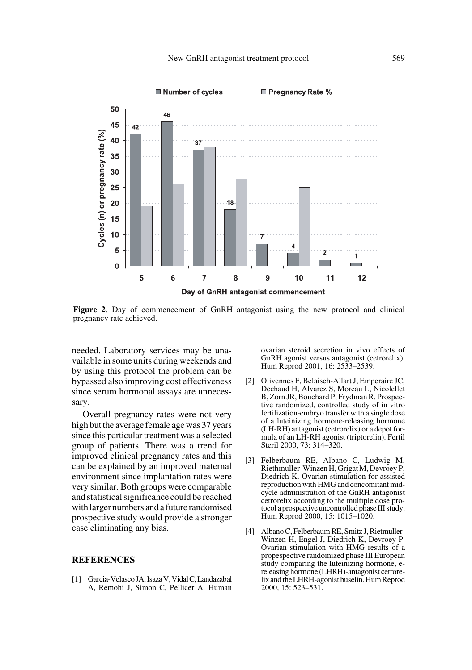

**Figure 2**. Day of commencement of GnRH antagonist using the new protocol and clinical pregnancy rate achieved.

needed. Laboratory services may be unavailable in some units during weekends and by using this protocol the problem can be bypassed also improving cost effectiveness since serum hormonal assays are unnecessary.

Overall pregnancy rates were not very high but the average female age was 37 years since this particular treatment was a selected group of patients. There was a trend for improved clinical pregnancy rates and this can be explained by an improved maternal environment since implantation rates were very similar. Both groups were comparable and statistical significance could be reached with larger numbers and a future randomised prospective study would provide a stronger case eliminating any bias.

#### **REFERENCES**

[1] Garcia-Velasco JA, Isaza V, Vidal C, Landazabal A, Remohi J, Simon C, Pellicer A. Human ovarian steroid secretion in vivo effects of GnRH agonist versus antagonist (cetrorelix). Hum Reprod 2001, 16: 2533–2539.

- [2] Olivennes F, Belaisch-Allart J, Emperaire JC, Dechaud H, Alvarez S, Moreau L, Nicolellet B, Zorn JR, Bouchard P, Frydman R. Prospective randomized, controlled study of in vitro fertilization-embryo transfer with a single dose of a luteinizing hormone-releasing hormone (LH-RH) antagonist (cetrorelix) or a depot formula of an LH-RH agonist (triptorelin). Fertil Steril 2000, 73: 314–320.
- [3] Felberbaum RE, Albano C, Ludwig M, Riethmuller-Winzen H, Grigat M, Devroey P, Diedrich K. Ovarian stimulation for assisted reproduction with HMG and concomitant midcycle administration of the GnRH antagonist cetrorelix according to the multiple dose protocol a prospective uncontrolled phase III study. Hum Reprod 2000, 15: 1015–1020.
- [4] Albano C, Felberbaum RE, Smitz J, Rietmuller-Winzen H, Engel J, Diedrich K, Devroey P. Ovarian stimulation with HMG results of a propespective randomized phase III European study comparing the luteinizing hormone, ereleasing hormone (LHRH)-antagonist cetrorelix and the LHRH-agonist buselin. Hum Reprod 2000, 15: 523–531.